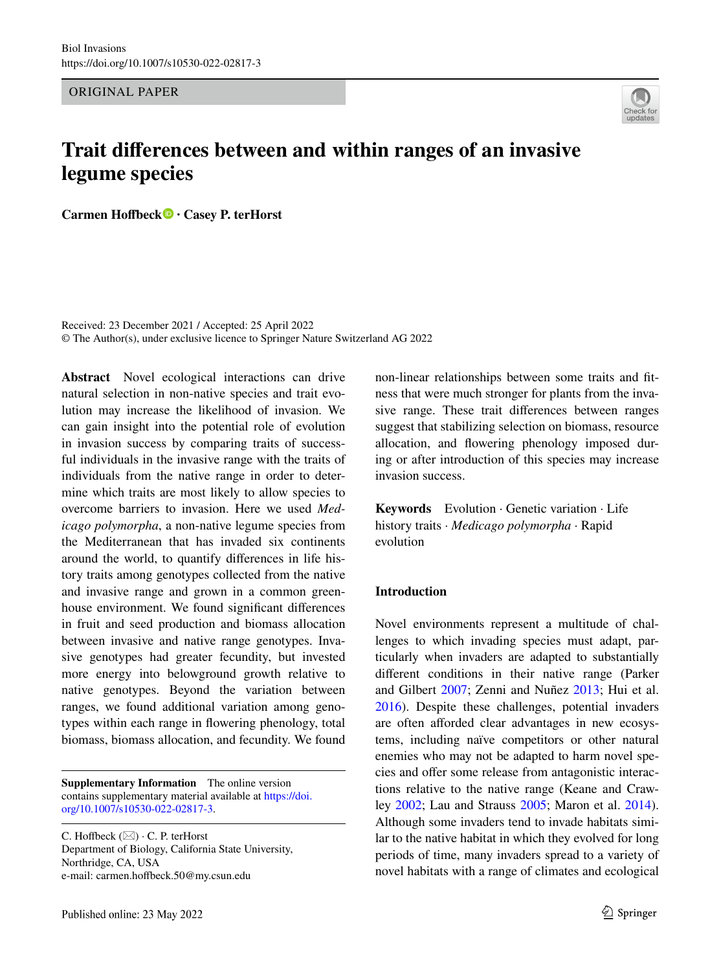ORIGINAL PAPER

# **Trait diferences between and within ranges of an invasive legume species**

**Carmen Hofbeck · Casey P. terHorst**

Received: 23 December 2021 / Accepted: 25 April 2022 © The Author(s), under exclusive licence to Springer Nature Switzerland AG 2022

**Abstract** Novel ecological interactions can drive natural selection in non-native species and trait evolution may increase the likelihood of invasion. We can gain insight into the potential role of evolution in invasion success by comparing traits of successful individuals in the invasive range with the traits of individuals from the native range in order to determine which traits are most likely to allow species to overcome barriers to invasion. Here we used *Medicago polymorpha*, a non-native legume species from the Mediterranean that has invaded six continents around the world, to quantify diferences in life history traits among genotypes collected from the native and invasive range and grown in a common greenhouse environment. We found signifcant diferences in fruit and seed production and biomass allocation between invasive and native range genotypes. Invasive genotypes had greater fecundity, but invested more energy into belowground growth relative to native genotypes. Beyond the variation between ranges, we found additional variation among genotypes within each range in fowering phenology, total biomass, biomass allocation, and fecundity. We found

**Supplementary Information** The online version contains supplementary material available at [https://doi.](https://doi.org/10.1007/s10530-022-02817-3) [org/10.1007/s10530-022-02817-3.](https://doi.org/10.1007/s10530-022-02817-3)

C. Hoffbeck  $(\boxtimes) \cdot$  C. P. terHorst Department of Biology, California State University, Northridge, CA, USA e-mail: carmen.hoffbeck.50@my.csun.edu

non-linear relationships between some traits and ftness that were much stronger for plants from the invasive range. These trait diferences between ranges suggest that stabilizing selection on biomass, resource allocation, and fowering phenology imposed during or after introduction of this species may increase invasion success.

**Keywords** Evolution · Genetic variation · Life history traits · *Medicago polymorpha* · Rapid evolution

#### **Introduction**

Novel environments represent a multitude of challenges to which invading species must adapt, particularly when invaders are adapted to substantially diferent conditions in their native range (Parker and Gilbert [2007;](#page-10-0) Zenni and Nuñez [2013](#page-10-1); Hui et al. [2016\)](#page-9-0). Despite these challenges, potential invaders are often afforded clear advantages in new ecosystems, including naïve competitors or other natural enemies who may not be adapted to harm novel species and offer some release from antagonistic interactions relative to the native range (Keane and Crawley [2002](#page-9-1); Lau and Strauss [2005;](#page-10-2) Maron et al. [2014](#page-10-3)). Although some invaders tend to invade habitats similar to the native habitat in which they evolved for long periods of time, many invaders spread to a variety of novel habitats with a range of climates and ecological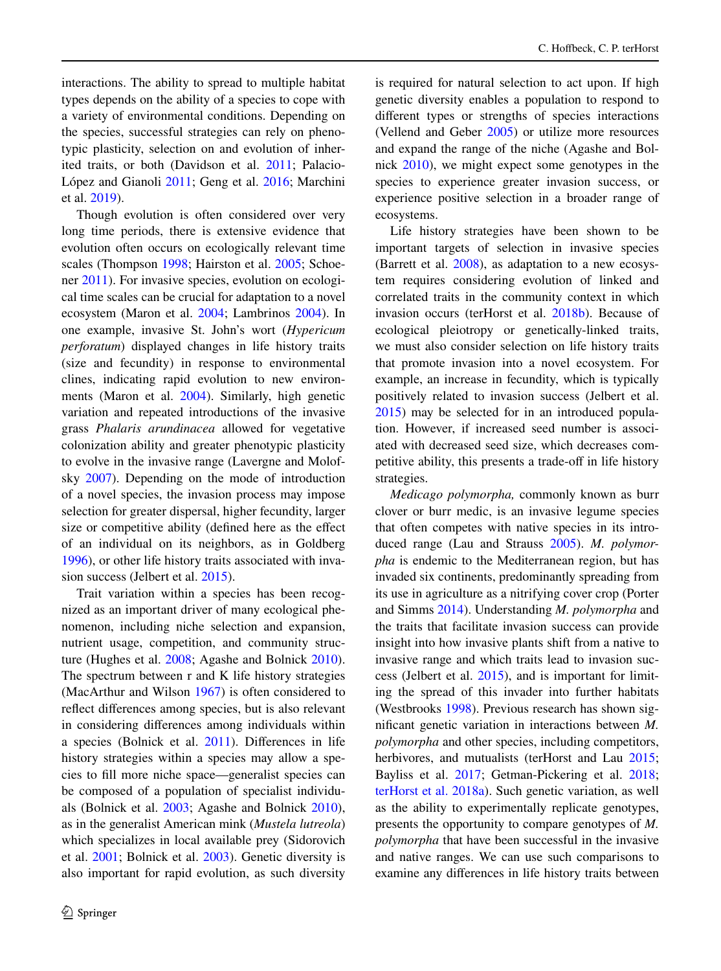interactions. The ability to spread to multiple habitat types depends on the ability of a species to cope with a variety of environmental conditions. Depending on the species, successful strategies can rely on phenotypic plasticity, selection on and evolution of inherited traits, or both (Davidson et al. [2011;](#page-9-2) Palacio-López and Gianoli [2011;](#page-10-4) Geng et al. [2016;](#page-9-3) Marchini et al. [2019\)](#page-10-5).

Though evolution is often considered over very long time periods, there is extensive evidence that evolution often occurs on ecologically relevant time scales (Thompson [1998;](#page-10-6) Hairston et al. [2005;](#page-9-4) Schoener [2011](#page-10-7)). For invasive species, evolution on ecological time scales can be crucial for adaptation to a novel ecosystem (Maron et al. [2004](#page-10-8); Lambrinos [2004](#page-10-9)). In one example, invasive St. John's wort (*Hypericum perforatum*) displayed changes in life history traits (size and fecundity) in response to environmental clines, indicating rapid evolution to new environments (Maron et al. [2004\)](#page-10-8). Similarly, high genetic variation and repeated introductions of the invasive grass *Phalaris arundinacea* allowed for vegetative colonization ability and greater phenotypic plasticity to evolve in the invasive range (Lavergne and Molofsky [2007\)](#page-10-10). Depending on the mode of introduction of a novel species, the invasion process may impose selection for greater dispersal, higher fecundity, larger size or competitive ability (defned here as the efect of an individual on its neighbors, as in Goldberg [1996\)](#page-9-5), or other life history traits associated with invasion success (Jelbert et al. [2015\)](#page-9-6).

Trait variation within a species has been recognized as an important driver of many ecological phenomenon, including niche selection and expansion, nutrient usage, competition, and community structure (Hughes et al. [2008](#page-9-7); Agashe and Bolnick [2010](#page-9-8)). The spectrum between r and K life history strategies (MacArthur and Wilson [1967\)](#page-10-11) is often considered to refect diferences among species, but is also relevant in considering diferences among individuals within a species (Bolnick et al. [2011](#page-9-9)). Diferences in life history strategies within a species may allow a species to fll more niche space—generalist species can be composed of a population of specialist individuals (Bolnick et al. [2003;](#page-9-10) Agashe and Bolnick [2010](#page-9-8)), as in the generalist American mink (*Mustela lutreola*) which specializes in local available prey (Sidorovich et al. [2001](#page-10-12); Bolnick et al. [2003](#page-9-10)). Genetic diversity is also important for rapid evolution, as such diversity

is required for natural selection to act upon. If high genetic diversity enables a population to respond to diferent types or strengths of species interactions (Vellend and Geber [2005\)](#page-10-13) or utilize more resources and expand the range of the niche (Agashe and Bolnick [2010\)](#page-9-8), we might expect some genotypes in the species to experience greater invasion success, or experience positive selection in a broader range of ecosystems.

Life history strategies have been shown to be important targets of selection in invasive species (Barrett et al. [2008\)](#page-9-11), as adaptation to a new ecosystem requires considering evolution of linked and correlated traits in the community context in which invasion occurs (terHorst et al. [2018b](#page-10-14)). Because of ecological pleiotropy or genetically-linked traits, we must also consider selection on life history traits that promote invasion into a novel ecosystem. For example, an increase in fecundity, which is typically positively related to invasion success (Jelbert et al. [2015\)](#page-9-6) may be selected for in an introduced population. However, if increased seed number is associated with decreased seed size, which decreases competitive ability, this presents a trade-off in life history strategies.

*Medicago polymorpha,* commonly known as burr clover or burr medic, is an invasive legume species that often competes with native species in its introduced range (Lau and Strauss [2005\)](#page-10-2). *M. polymorpha* is endemic to the Mediterranean region, but has invaded six continents, predominantly spreading from its use in agriculture as a nitrifying cover crop (Porter and Simms [2014](#page-10-15)). Understanding *M. polymorpha* and the traits that facilitate invasion success can provide insight into how invasive plants shift from a native to invasive range and which traits lead to invasion success (Jelbert et al. [2015\)](#page-9-6), and is important for limiting the spread of this invader into further habitats (Westbrooks [1998](#page-10-16)). Previous research has shown signifcant genetic variation in interactions between *M. polymorpha* and other species, including competitors, herbivores, and mutualists (terHorst and Lau [2015;](#page-10-17) Bayliss et al. [2017](#page-9-12); Getman-Pickering et al. [2018;](#page-9-13) [terHorst et al. 2018a\)](#page-10-18). Such genetic variation, as well as the ability to experimentally replicate genotypes, presents the opportunity to compare genotypes of *M. polymorpha* that have been successful in the invasive and native ranges. We can use such comparisons to examine any diferences in life history traits between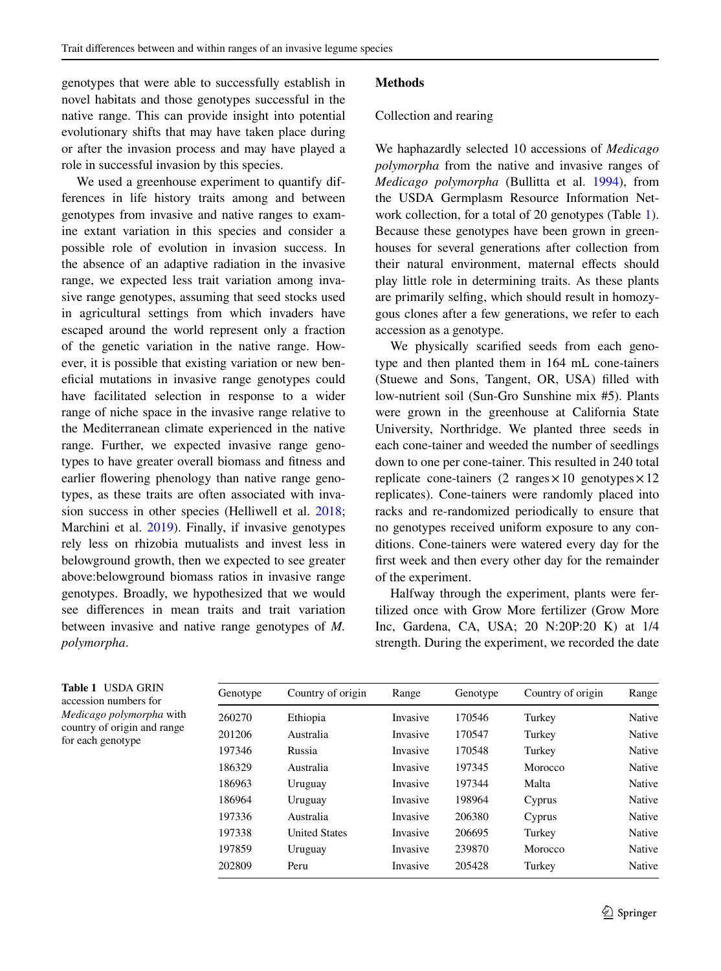# genotypes that were able to successfully establish in novel habitats and those genotypes successful in the native range. This can provide insight into potential evolutionary shifts that may have taken place during or after the invasion process and may have played a role in successful invasion by this species.

We used a greenhouse experiment to quantify differences in life history traits among and between genotypes from invasive and native ranges to examine extant variation in this species and consider a possible role of evolution in invasion success. In the absence of an adaptive radiation in the invasive range, we expected less trait variation among invasive range genotypes, assuming that seed stocks used in agricultural settings from which invaders have escaped around the world represent only a fraction of the genetic variation in the native range. However, it is possible that existing variation or new benefcial mutations in invasive range genotypes could have facilitated selection in response to a wider range of niche space in the invasive range relative to the Mediterranean climate experienced in the native range. Further, we expected invasive range genotypes to have greater overall biomass and ftness and earlier fowering phenology than native range genotypes, as these traits are often associated with inva-sion success in other species (Helliwell et al. [2018](#page-9-14); Marchini et al. [2019\)](#page-10-5). Finally, if invasive genotypes rely less on rhizobia mutualists and invest less in belowground growth, then we expected to see greater above:belowground biomass ratios in invasive range genotypes. Broadly, we hypothesized that we would see diferences in mean traits and trait variation between invasive and native range genotypes of *M. polymorpha*.

## **Methods**

### Collection and rearing

We haphazardly selected 10 accessions of *Medicago polymorpha* from the native and invasive ranges of *Medicago polymorpha* (Bullitta et al. [1994\)](#page-9-15), from the USDA Germplasm Resource Information Network collection, for a total of 20 genotypes (Table [1\)](#page-2-0). Because these genotypes have been grown in greenhouses for several generations after collection from their natural environment, maternal effects should play little role in determining traits. As these plants are primarily selfng, which should result in homozygous clones after a few generations, we refer to each accession as a genotype.

We physically scarifed seeds from each genotype and then planted them in 164 mL cone-tainers (Stuewe and Sons, Tangent, OR, USA) flled with low-nutrient soil (Sun-Gro Sunshine mix #5). Plants were grown in the greenhouse at California State University, Northridge. We planted three seeds in each cone-tainer and weeded the number of seedlings down to one per cone-tainer. This resulted in 240 total replicate cone-tainers (2 ranges  $\times 10$  genotypes  $\times 12$ replicates). Cone-tainers were randomly placed into racks and re-randomized periodically to ensure that no genotypes received uniform exposure to any conditions. Cone-tainers were watered every day for the frst week and then every other day for the remainder of the experiment.

Halfway through the experiment, plants were fertilized once with Grow More fertilizer (Grow More Inc, Gardena, CA, USA; 20 N:20P:20 K) at 1/4 strength. During the experiment, we recorded the date

<span id="page-2-0"></span>

| <b>Table 1 USDA GRIN</b>        |
|---------------------------------|
| accession numbers for           |
| <i>Medicago polymorpha</i> with |
| country of origin and range     |
| for each genotype               |

| Genotype | Country of origin    | Range    | Genotype | Country of origin | Range         |
|----------|----------------------|----------|----------|-------------------|---------------|
| 260270   | Ethiopia             | Invasive | 170546   | Turkey            | Native        |
| 201206   | Australia            | Invasive | 170547   | Turkey            | Native        |
| 197346   | Russia               | Invasive | 170548   | Turkey            | <b>Native</b> |
| 186329   | Australia            | Invasive | 197345   | Morocco           | <b>Native</b> |
| 186963   | Uruguay              | Invasive | 197344   | Malta             | Native        |
| 186964   | Uruguay              | Invasive | 198964   | Cyprus            | Native        |
| 197336   | Australia            | Invasive | 206380   | Cyprus            | Native        |
| 197338   | <b>United States</b> | Invasive | 206695   | Turkey            | <b>Native</b> |
| 197859   | Uruguay              | Invasive | 239870   | Morocco           | Native        |
| 202809   | Peru                 | Invasive | 205428   | Turkey            | <b>Native</b> |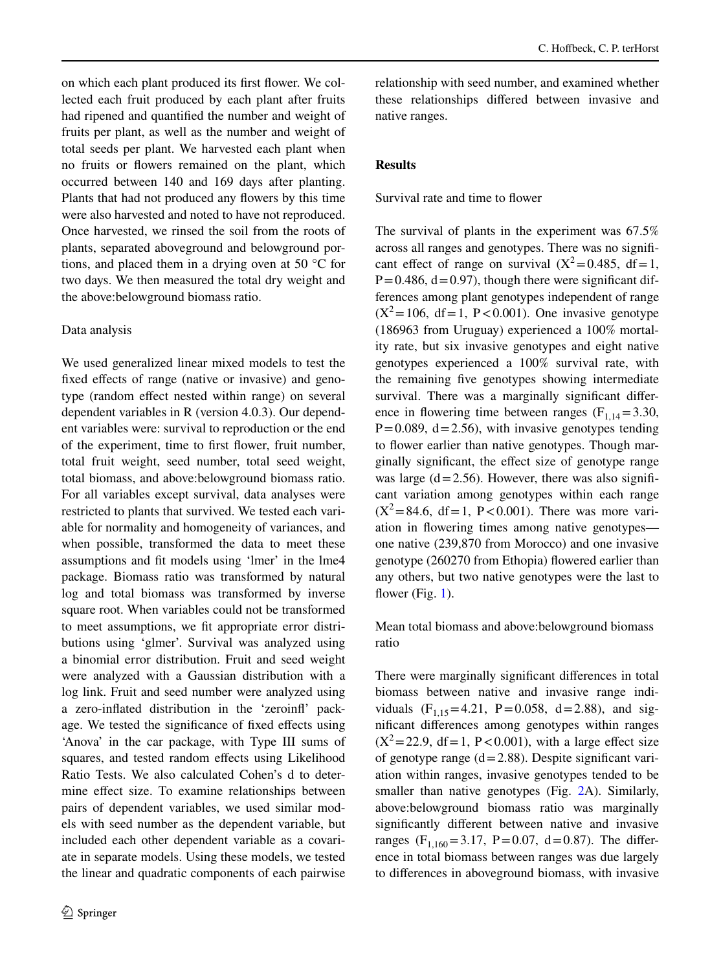on which each plant produced its frst fower. We collected each fruit produced by each plant after fruits had ripened and quantifed the number and weight of fruits per plant, as well as the number and weight of total seeds per plant. We harvested each plant when no fruits or fowers remained on the plant, which occurred between 140 and 169 days after planting. Plants that had not produced any fowers by this time were also harvested and noted to have not reproduced. Once harvested, we rinsed the soil from the roots of plants, separated aboveground and belowground portions, and placed them in a drying oven at 50 °C for two days. We then measured the total dry weight and the above:belowground biomass ratio.

#### Data analysis

We used generalized linear mixed models to test the fxed efects of range (native or invasive) and genotype (random effect nested within range) on several dependent variables in R (version 4.0.3). Our dependent variables were: survival to reproduction or the end of the experiment, time to frst fower, fruit number, total fruit weight, seed number, total seed weight, total biomass, and above:belowground biomass ratio. For all variables except survival, data analyses were restricted to plants that survived. We tested each variable for normality and homogeneity of variances, and when possible, transformed the data to meet these assumptions and ft models using 'lmer' in the lme4 package. Biomass ratio was transformed by natural log and total biomass was transformed by inverse square root. When variables could not be transformed to meet assumptions, we ft appropriate error distributions using 'glmer'. Survival was analyzed using a binomial error distribution. Fruit and seed weight were analyzed with a Gaussian distribution with a log link. Fruit and seed number were analyzed using a zero-infated distribution in the 'zeroinf' package. We tested the signifcance of fxed efects using 'Anova' in the car package, with Type III sums of squares, and tested random effects using Likelihood Ratio Tests. We also calculated Cohen's d to determine efect size. To examine relationships between pairs of dependent variables, we used similar models with seed number as the dependent variable, but included each other dependent variable as a covariate in separate models. Using these models, we tested the linear and quadratic components of each pairwise

relationship with seed number, and examined whether these relationships difered between invasive and native ranges.

#### **Results**

Survival rate and time to flower

The survival of plants in the experiment was 67.5% across all ranges and genotypes. There was no signifcant effect of range on survival  $(X^2=0.485, df=1,$  $P=0.486$ ,  $d=0.97$ ), though there were significant differences among plant genotypes independent of range  $(X^2=106, df=1, P<0.001)$ . One invasive genotype (186963 from Uruguay) experienced a 100% mortality rate, but six invasive genotypes and eight native genotypes experienced a 100% survival rate, with the remaining fve genotypes showing intermediate survival. There was a marginally significant difference in flowering time between ranges  $(F<sub>1,14</sub>=3.30,$  $P=0.089$ ,  $d=2.56$ ), with invasive genotypes tending to flower earlier than native genotypes. Though marginally signifcant, the efect size of genotype range was large  $(d=2.56)$ . However, there was also significant variation among genotypes within each range  $(X^2 = 84.6, df = 1, P < 0.001)$ . There was more variation in fowering times among native genotypes one native (239,870 from Morocco) and one invasive genotype (260270 from Ethopia) fowered earlier than any others, but two native genotypes were the last to flower (Fig.  $1$ ).

Mean total biomass and above:belowground biomass ratio

There were marginally signifcant diferences in total biomass between native and invasive range individuals  $(F_{1,15} = 4.21, P = 0.058, d = 2.88)$ , and signifcant diferences among genotypes within ranges  $(X^2=22.9, df=1, P<0.001)$ , with a large effect size of genotype range  $(d=2.88)$ . Despite significant variation within ranges, invasive genotypes tended to be smaller than native genotypes (Fig. [2A](#page-5-0)). Similarly, above:belowground biomass ratio was marginally signifcantly diferent between native and invasive ranges (F<sub>1,160</sub>=3.17, P=0.07, d=0.87). The difference in total biomass between ranges was due largely to diferences in aboveground biomass, with invasive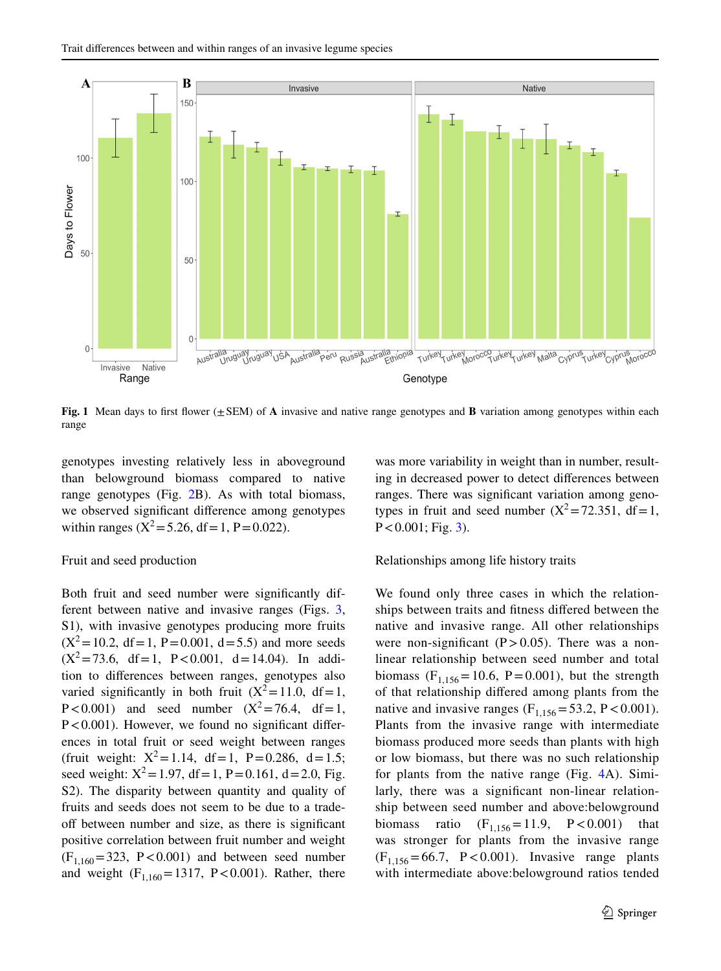

<span id="page-4-0"></span>**Fig. 1** Mean days to first flower (+SEM) of **A** invasive and native range genotypes and **B** variation among genotypes within each range

genotypes investing relatively less in aboveground than belowground biomass compared to native range genotypes (Fig. [2](#page-5-0)B). As with total biomass, we observed signifcant diference among genotypes within ranges ( $X^2 = 5.26$ , df = 1, P = 0.022).

#### Fruit and seed production

Both fruit and seed number were signifcantly different between native and invasive ranges (Figs. [3,](#page-6-0) S1), with invasive genotypes producing more fruits  $(X^2 = 10.2, df = 1, P = 0.001, d = 5.5)$  and more seeds  $(X^2 = 73.6, df = 1, P < 0.001, d = 14.04)$ . In addition to diferences between ranges, genotypes also varied significantly in both fruit  $(X^2=11.0, df=1,$ P < 0.001) and seed number  $(X^2 = 76.4, df = 1$ ,  $P < 0.001$ ). However, we found no significant differences in total fruit or seed weight between ranges (fruit weight:  $X^2 = 1.14$ , df = 1, P = 0.286, d = 1.5; seed weight:  $X^2 = 1.97$ , df = 1, P = 0.161, d = 2.0, Fig. S2). The disparity between quantity and quality of fruits and seeds does not seem to be due to a tradeof between number and size, as there is signifcant positive correlation between fruit number and weight  $(F<sub>1,160</sub>=323, P<0.001)$  and between seed number and weight  $(F_{1,160} = 1317, P < 0.001)$ . Rather, there was more variability in weight than in number, resulting in decreased power to detect diferences between ranges. There was signifcant variation among genotypes in fruit and seed number  $(X^2 = 72.351, df = 1,$  $P < 0.001$ ; Fig. [3\)](#page-6-0).

#### Relationships among life history traits

We found only three cases in which the relationships between traits and ftness difered between the native and invasive range. All other relationships were non-significant  $(P>0.05)$ . There was a nonlinear relationship between seed number and total biomass ( $F_{1,156}$ =10.6, P=0.001), but the strength of that relationship difered among plants from the native and invasive ranges ( $F_{1,156}$ =53.2, P < 0.001). Plants from the invasive range with intermediate biomass produced more seeds than plants with high or low biomass, but there was no such relationship for plants from the native range (Fig. [4](#page-6-1)A). Similarly, there was a signifcant non-linear relationship between seed number and above:belowground biomass ratio  $(F_{1,156} = 11.9, P < 0.001)$  that was stronger for plants from the invasive range  $(F_{1,156} = 66.7, P < 0.001)$ . Invasive range plants with intermediate above:belowground ratios tended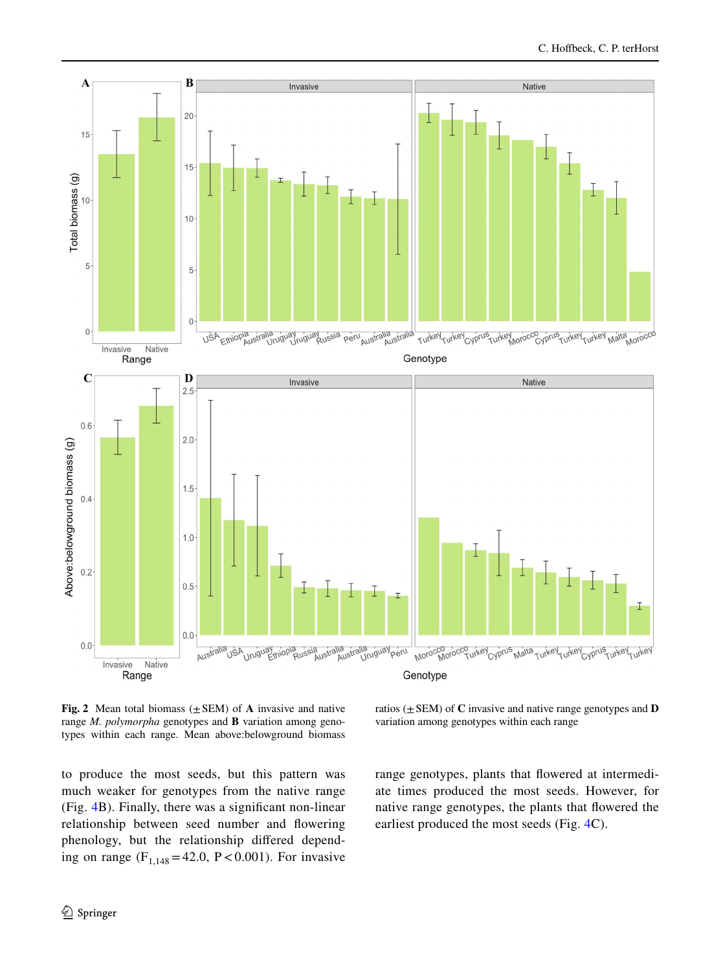

<span id="page-5-0"></span>**Fig.** 2 Mean total biomass  $(\pm$  SEM) of **A** invasive and native range *M. polymorpha* genotypes and **B** variation among genotypes within each range. Mean above:belowground biomass

to produce the most seeds, but this pattern was much weaker for genotypes from the native range (Fig. [4B](#page-6-1)). Finally, there was a signifcant non-linear relationship between seed number and fowering phenology, but the relationship difered depending on range  $(F_{1,148} = 42.0, P < 0.001)$ . For invasive

ratios (±SEM) of **C** invasive and native range genotypes and **D** variation among genotypes within each range

range genotypes, plants that fowered at intermediate times produced the most seeds. However, for native range genotypes, the plants that fowered the earliest produced the most seeds (Fig. [4C](#page-6-1)).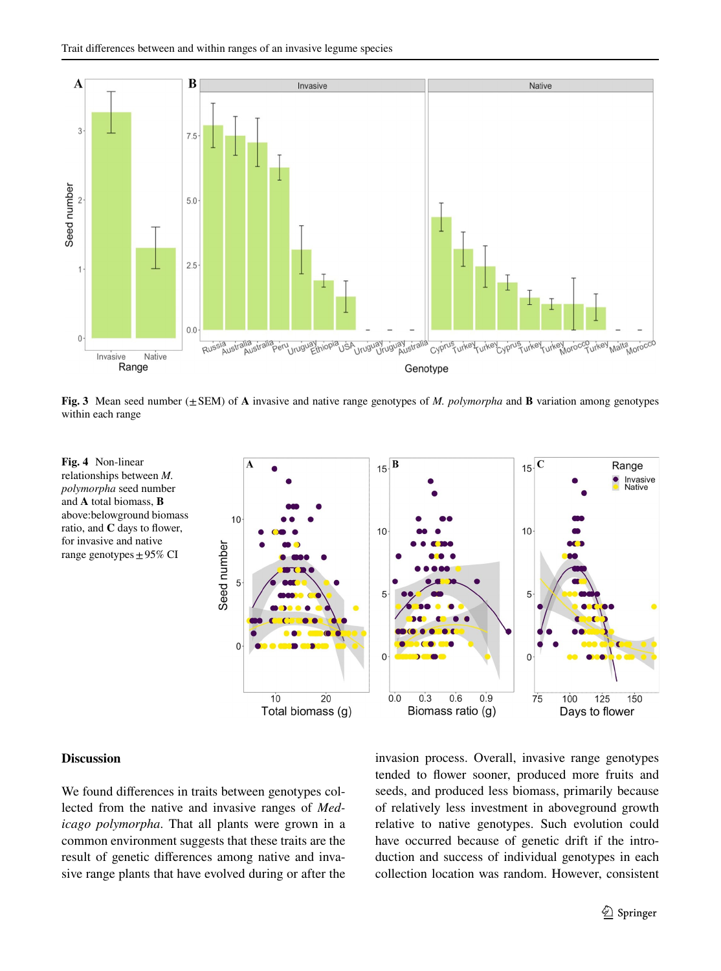

<span id="page-6-0"></span>**Fig. 3** Mean seed number (±SEM) of **A** invasive and native range genotypes of *M. polymorpha* and **B** variation among genotypes within each range

<span id="page-6-1"></span>

#### **Discussion**

We found diferences in traits between genotypes collected from the native and invasive ranges of *Medicago polymorpha*. That all plants were grown in a common environment suggests that these traits are the result of genetic diferences among native and invasive range plants that have evolved during or after the invasion process. Overall, invasive range genotypes tended to flower sooner, produced more fruits and seeds, and produced less biomass, primarily because of relatively less investment in aboveground growth relative to native genotypes. Such evolution could have occurred because of genetic drift if the introduction and success of individual genotypes in each collection location was random. However, consistent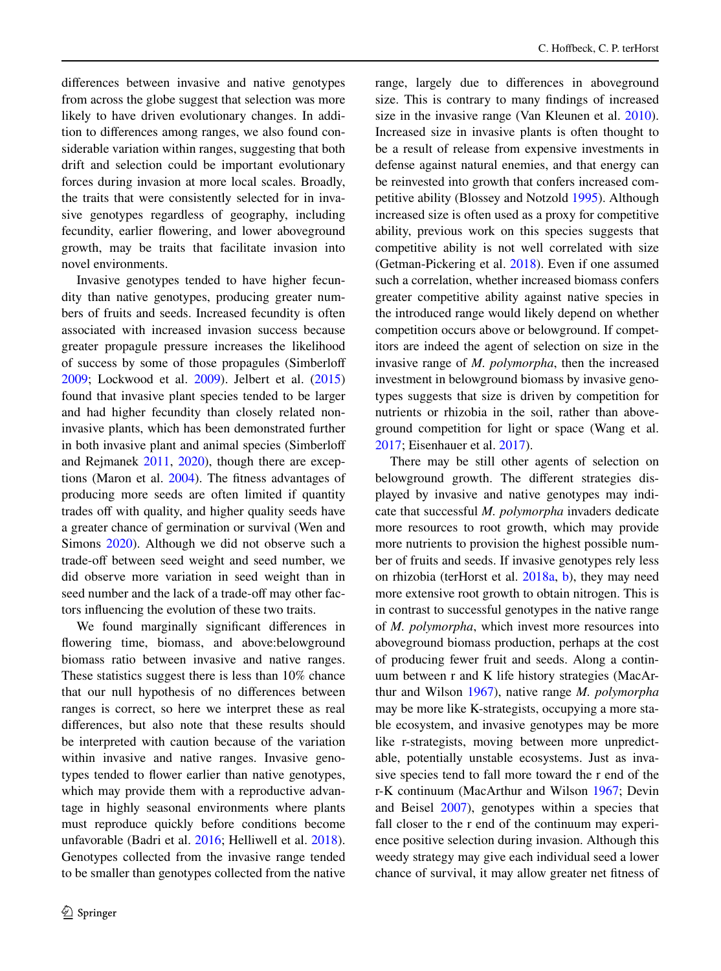diferences between invasive and native genotypes from across the globe suggest that selection was more likely to have driven evolutionary changes. In addition to diferences among ranges, we also found considerable variation within ranges, suggesting that both drift and selection could be important evolutionary forces during invasion at more local scales. Broadly, the traits that were consistently selected for in invasive genotypes regardless of geography, including fecundity, earlier fowering, and lower aboveground growth, may be traits that facilitate invasion into novel environments.

Invasive genotypes tended to have higher fecundity than native genotypes, producing greater numbers of fruits and seeds. Increased fecundity is often associated with increased invasion success because greater propagule pressure increases the likelihood of success by some of those propagules (Simberlof [2009;](#page-10-19) Lockwood et al. [2009](#page-10-20)). Jelbert et al. ([2015\)](#page-9-6) found that invasive plant species tended to be larger and had higher fecundity than closely related noninvasive plants, which has been demonstrated further in both invasive plant and animal species (Simberlof and Rejmanek [2011](#page-10-21), [2020](#page-10-21)), though there are exceptions (Maron et al. [2004\)](#page-10-8). The ftness advantages of producing more seeds are often limited if quantity trades off with quality, and higher quality seeds have a greater chance of germination or survival (Wen and Simons [2020\)](#page-10-22). Although we did not observe such a trade-off between seed weight and seed number, we did observe more variation in seed weight than in seed number and the lack of a trade-off may other factors infuencing the evolution of these two traits.

We found marginally signifcant diferences in flowering time, biomass, and above:belowground biomass ratio between invasive and native ranges. These statistics suggest there is less than 10% chance that our null hypothesis of no diferences between ranges is correct, so here we interpret these as real diferences, but also note that these results should be interpreted with caution because of the variation within invasive and native ranges. Invasive genotypes tended to flower earlier than native genotypes, which may provide them with a reproductive advantage in highly seasonal environments where plants must reproduce quickly before conditions become unfavorable (Badri et al. [2016;](#page-9-16) Helliwell et al. [2018](#page-9-14)). Genotypes collected from the invasive range tended to be smaller than genotypes collected from the native range, largely due to diferences in aboveground size. This is contrary to many fndings of increased size in the invasive range (Van Kleunen et al. [2010](#page-10-23)). Increased size in invasive plants is often thought to be a result of release from expensive investments in defense against natural enemies, and that energy can be reinvested into growth that confers increased competitive ability (Blossey and Notzold [1995](#page-9-17)). Although increased size is often used as a proxy for competitive ability, previous work on this species suggests that competitive ability is not well correlated with size (Getman-Pickering et al. [2018](#page-9-13)). Even if one assumed such a correlation, whether increased biomass confers greater competitive ability against native species in the introduced range would likely depend on whether competition occurs above or belowground. If competitors are indeed the agent of selection on size in the invasive range of *M. polymorpha*, then the increased investment in belowground biomass by invasive genotypes suggests that size is driven by competition for nutrients or rhizobia in the soil, rather than aboveground competition for light or space (Wang et al. [2017;](#page-10-24) Eisenhauer et al. [2017\)](#page-9-18).

There may be still other agents of selection on belowground growth. The diferent strategies displayed by invasive and native genotypes may indicate that successful *M. polymorpha* invaders dedicate more resources to root growth, which may provide more nutrients to provision the highest possible number of fruits and seeds. If invasive genotypes rely less on rhizobia (terHorst et al. [2018a](#page-10-18), [b\)](#page-10-14), they may need more extensive root growth to obtain nitrogen. This is in contrast to successful genotypes in the native range of *M. polymorpha*, which invest more resources into aboveground biomass production, perhaps at the cost of producing fewer fruit and seeds. Along a continuum between r and K life history strategies (MacArthur and Wilson [1967\)](#page-10-11), native range *M. polymorpha* may be more like K-strategists, occupying a more stable ecosystem, and invasive genotypes may be more like r-strategists, moving between more unpredictable, potentially unstable ecosystems. Just as invasive species tend to fall more toward the r end of the r-K continuum (MacArthur and Wilson [1967;](#page-10-11) Devin and Beisel [2007\)](#page-9-19), genotypes within a species that fall closer to the r end of the continuum may experience positive selection during invasion. Although this weedy strategy may give each individual seed a lower chance of survival, it may allow greater net ftness of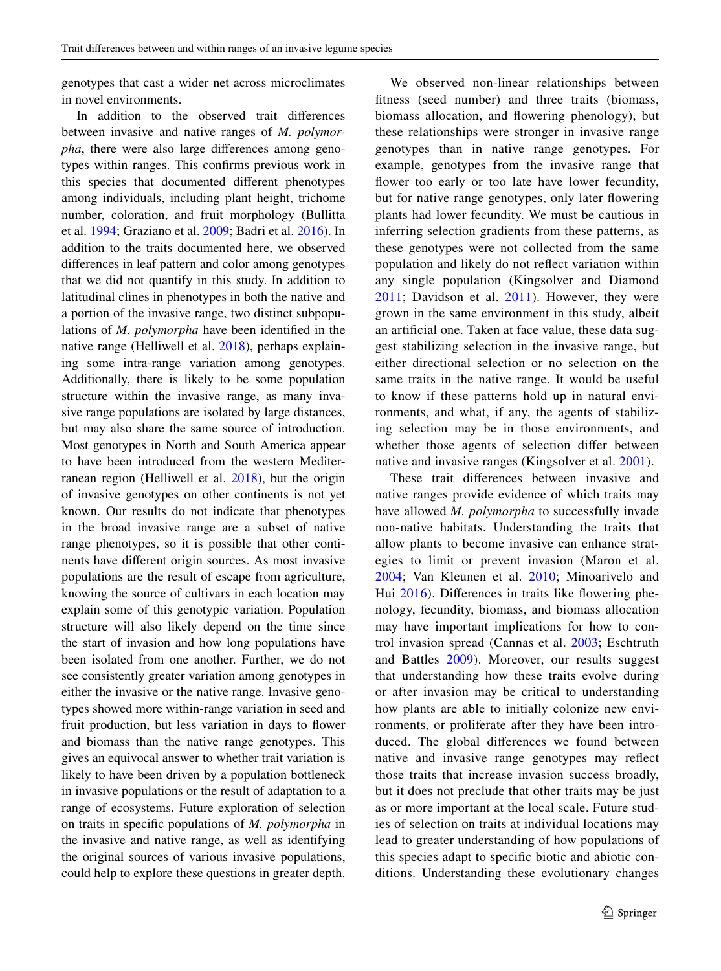genotypes that cast a wider net across microclimates in novel environments.

In addition to the observed trait diferences between invasive and native ranges of *M. polymorpha*, there were also large diferences among genotypes within ranges. This confrms previous work in this species that documented diferent phenotypes among individuals, including plant height, trichome number, coloration, and fruit morphology (Bullitta et al. [1994](#page-9-15); Graziano et al. [2009](#page-9-20); Badri et al. [2016\)](#page-9-16). In addition to the traits documented here, we observed diferences in leaf pattern and color among genotypes that we did not quantify in this study. In addition to latitudinal clines in phenotypes in both the native and a portion of the invasive range, two distinct subpopulations of *M. polymorpha* have been identifed in the native range (Helliwell et al. [2018](#page-9-14)), perhaps explaining some intra-range variation among genotypes. Additionally, there is likely to be some population structure within the invasive range, as many invasive range populations are isolated by large distances, but may also share the same source of introduction. Most genotypes in North and South America appear to have been introduced from the western Mediterranean region (Helliwell et al. [2018\)](#page-9-14), but the origin of invasive genotypes on other continents is not yet known. Our results do not indicate that phenotypes in the broad invasive range are a subset of native range phenotypes, so it is possible that other continents have diferent origin sources. As most invasive populations are the result of escape from agriculture, knowing the source of cultivars in each location may explain some of this genotypic variation. Population structure will also likely depend on the time since the start of invasion and how long populations have been isolated from one another. Further, we do not see consistently greater variation among genotypes in either the invasive or the native range. Invasive genotypes showed more within-range variation in seed and fruit production, but less variation in days to fower and biomass than the native range genotypes. This gives an equivocal answer to whether trait variation is likely to have been driven by a population bottleneck in invasive populations or the result of adaptation to a range of ecosystems. Future exploration of selection on traits in specifc populations of *M. polymorpha* in the invasive and native range, as well as identifying the original sources of various invasive populations, could help to explore these questions in greater depth.

We observed non-linear relationships between ftness (seed number) and three traits (biomass, biomass allocation, and fowering phenology), but these relationships were stronger in invasive range genotypes than in native range genotypes. For example, genotypes from the invasive range that flower too early or too late have lower fecundity, but for native range genotypes, only later fowering plants had lower fecundity. We must be cautious in inferring selection gradients from these patterns, as these genotypes were not collected from the same population and likely do not refect variation within any single population (Kingsolver and Diamond [2011](#page-9-21); Davidson et al. [2011\)](#page-9-2). However, they were grown in the same environment in this study, albeit an artifcial one. Taken at face value, these data suggest stabilizing selection in the invasive range, but either directional selection or no selection on the same traits in the native range. It would be useful to know if these patterns hold up in natural environments, and what, if any, the agents of stabilizing selection may be in those environments, and whether those agents of selection difer between native and invasive ranges (Kingsolver et al. [2001\)](#page-10-25).

These trait diferences between invasive and native ranges provide evidence of which traits may have allowed *M. polymorpha* to successfully invade non-native habitats. Understanding the traits that allow plants to become invasive can enhance strategies to limit or prevent invasion (Maron et al. [2004](#page-10-8); Van Kleunen et al. [2010](#page-10-23); Minoarivelo and Hui [2016](#page-10-26)). Differences in traits like flowering phenology, fecundity, biomass, and biomass allocation may have important implications for how to control invasion spread (Cannas et al. [2003](#page-9-22); Eschtruth and Battles [2009](#page-9-23)). Moreover, our results suggest that understanding how these traits evolve during or after invasion may be critical to understanding how plants are able to initially colonize new environments, or proliferate after they have been introduced. The global diferences we found between native and invasive range genotypes may refect those traits that increase invasion success broadly, but it does not preclude that other traits may be just as or more important at the local scale. Future studies of selection on traits at individual locations may lead to greater understanding of how populations of this species adapt to specifc biotic and abiotic conditions. Understanding these evolutionary changes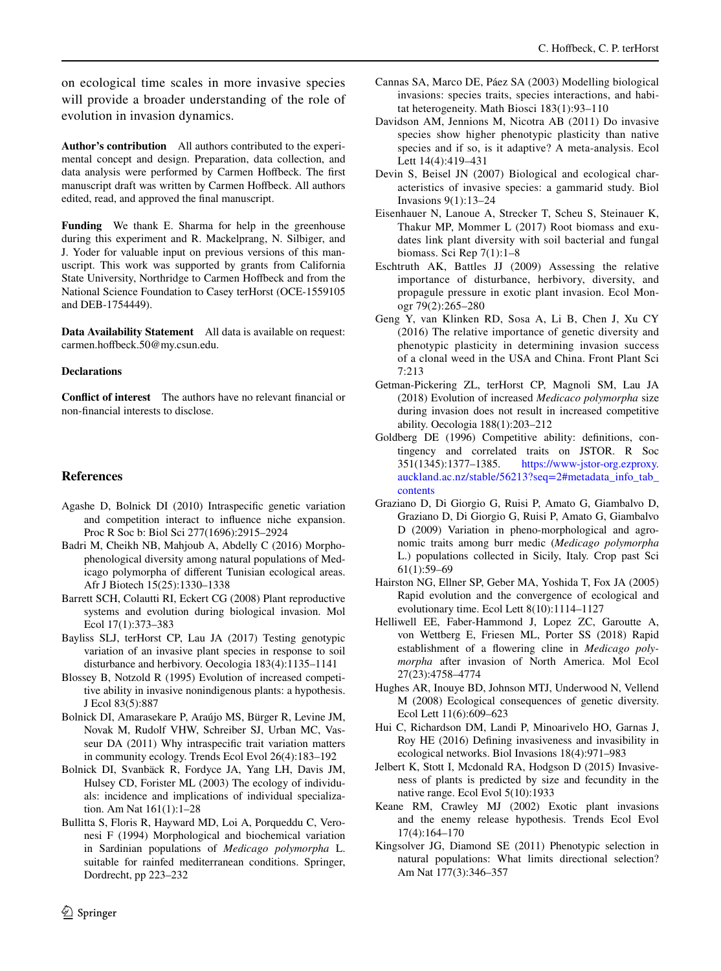on ecological time scales in more invasive species will provide a broader understanding of the role of evolution in invasion dynamics.

**Author's contribution** All authors contributed to the experimental concept and design. Preparation, data collection, and data analysis were performed by Carmen Hoffbeck. The first manuscript draft was written by Carmen Hoffbeck. All authors edited, read, and approved the fnal manuscript.

**Funding** We thank E. Sharma for help in the greenhouse during this experiment and R. Mackelprang, N. Silbiger, and J. Yoder for valuable input on previous versions of this manuscript. This work was supported by grants from California State University, Northridge to Carmen Hofbeck and from the National Science Foundation to Casey terHorst (OCE-1559105 and DEB-1754449).

**Data Availability Statement** All data is available on request: carmen.hofbeck.50@my.csun.edu.

#### **Declarations**

**Confict of interest** The authors have no relevant fnancial or non-fnancial interests to disclose.

#### **References**

- <span id="page-9-8"></span>Agashe D, Bolnick DI (2010) Intraspecifc genetic variation and competition interact to infuence niche expansion. Proc R Soc b: Biol Sci 277(1696):2915–2924
- <span id="page-9-16"></span>Badri M, Cheikh NB, Mahjoub A, Abdelly C (2016) Morphophenological diversity among natural populations of Medicago polymorpha of diferent Tunisian ecological areas. Afr J Biotech 15(25):1330–1338
- <span id="page-9-11"></span>Barrett SCH, Colautti RI, Eckert CG (2008) Plant reproductive systems and evolution during biological invasion. Mol Ecol 17(1):373–383
- <span id="page-9-12"></span>Bayliss SLJ, terHorst CP, Lau JA (2017) Testing genotypic variation of an invasive plant species in response to soil disturbance and herbivory. Oecologia 183(4):1135–1141
- <span id="page-9-17"></span>Blossey B, Notzold R (1995) Evolution of increased competitive ability in invasive nonindigenous plants: a hypothesis. J Ecol 83(5):887
- <span id="page-9-9"></span>Bolnick DI, Amarasekare P, Araújo MS, Bürger R, Levine JM, Novak M, Rudolf VHW, Schreiber SJ, Urban MC, Vasseur DA (2011) Why intraspecifc trait variation matters in community ecology. Trends Ecol Evol 26(4):183–192
- <span id="page-9-10"></span>Bolnick DI, Svanbäck R, Fordyce JA, Yang LH, Davis JM, Hulsey CD, Forister ML (2003) The ecology of individuals: incidence and implications of individual specialization. Am Nat 161(1):1–28
- <span id="page-9-15"></span>Bullitta S, Floris R, Hayward MD, Loi A, Porqueddu C, Veronesi F (1994) Morphological and biochemical variation in Sardinian populations of *Medicago polymorpha* L. suitable for rainfed mediterranean conditions. Springer, Dordrecht, pp 223–232
- <span id="page-9-22"></span>Cannas SA, Marco DE, Páez SA (2003) Modelling biological invasions: species traits, species interactions, and habitat heterogeneity. Math Biosci 183(1):93–110
- <span id="page-9-2"></span>Davidson AM, Jennions M, Nicotra AB (2011) Do invasive species show higher phenotypic plasticity than native species and if so, is it adaptive? A meta-analysis. Ecol Lett 14(4):419–431
- <span id="page-9-19"></span>Devin S, Beisel JN (2007) Biological and ecological characteristics of invasive species: a gammarid study. Biol Invasions 9(1):13–24
- <span id="page-9-18"></span>Eisenhauer N, Lanoue A, Strecker T, Scheu S, Steinauer K, Thakur MP, Mommer L (2017) Root biomass and exudates link plant diversity with soil bacterial and fungal biomass. Sci Rep 7(1):1–8
- <span id="page-9-23"></span>Eschtruth AK, Battles JJ (2009) Assessing the relative importance of disturbance, herbivory, diversity, and propagule pressure in exotic plant invasion. Ecol Monogr 79(2):265–280
- <span id="page-9-3"></span>Geng Y, van Klinken RD, Sosa A, Li B, Chen J, Xu CY (2016) The relative importance of genetic diversity and phenotypic plasticity in determining invasion success of a clonal weed in the USA and China. Front Plant Sci 7:213
- <span id="page-9-13"></span>Getman-Pickering ZL, terHorst CP, Magnoli SM, Lau JA (2018) Evolution of increased *Medicaco polymorpha* size during invasion does not result in increased competitive ability. Oecologia 188(1):203–212
- <span id="page-9-5"></span>Goldberg DE (1996) Competitive ability: defnitions, contingency and correlated traits on JSTOR. R Soc 351(1345):1377–1385. https://www-jstor-org.ezproxy. [https://www-jstor-org.ezproxy.](https://www-jstor-org.ezproxy.auckland.ac.nz/stable/56213?seq=2#metadata_info_tab_contents) [auckland.ac.nz/stable/56213?seq=2#metadata\\_info\\_tab\\_](https://www-jstor-org.ezproxy.auckland.ac.nz/stable/56213?seq=2#metadata_info_tab_contents) [contents](https://www-jstor-org.ezproxy.auckland.ac.nz/stable/56213?seq=2#metadata_info_tab_contents)
- <span id="page-9-20"></span>Graziano D, Di Giorgio G, Ruisi P, Amato G, Giambalvo D, Graziano D, Di Giorgio G, Ruisi P, Amato G, Giambalvo D (2009) Variation in pheno-morphological and agronomic traits among burr medic (*Medicago polymorpha* L.) populations collected in Sicily, Italy. Crop past Sci 61(1):59–69
- <span id="page-9-4"></span>Hairston NG, Ellner SP, Geber MA, Yoshida T, Fox JA (2005) Rapid evolution and the convergence of ecological and evolutionary time. Ecol Lett 8(10):1114–1127
- <span id="page-9-14"></span>Helliwell EE, Faber-Hammond J, Lopez ZC, Garoutte A, von Wettberg E, Friesen ML, Porter SS (2018) Rapid establishment of a fowering cline in *Medicago polymorpha* after invasion of North America. Mol Ecol 27(23):4758–4774
- <span id="page-9-7"></span>Hughes AR, Inouye BD, Johnson MTJ, Underwood N, Vellend M (2008) Ecological consequences of genetic diversity. Ecol Lett 11(6):609–623
- <span id="page-9-0"></span>Hui C, Richardson DM, Landi P, Minoarivelo HO, Garnas J, Roy HE (2016) Defning invasiveness and invasibility in ecological networks. Biol Invasions 18(4):971–983
- <span id="page-9-6"></span>Jelbert K, Stott I, Mcdonald RA, Hodgson D (2015) Invasiveness of plants is predicted by size and fecundity in the native range. Ecol Evol 5(10):1933
- <span id="page-9-1"></span>Keane RM, Crawley MJ (2002) Exotic plant invasions and the enemy release hypothesis. Trends Ecol Evol 17(4):164–170
- <span id="page-9-21"></span>Kingsolver JG, Diamond SE (2011) Phenotypic selection in natural populations: What limits directional selection? Am Nat 177(3):346–357